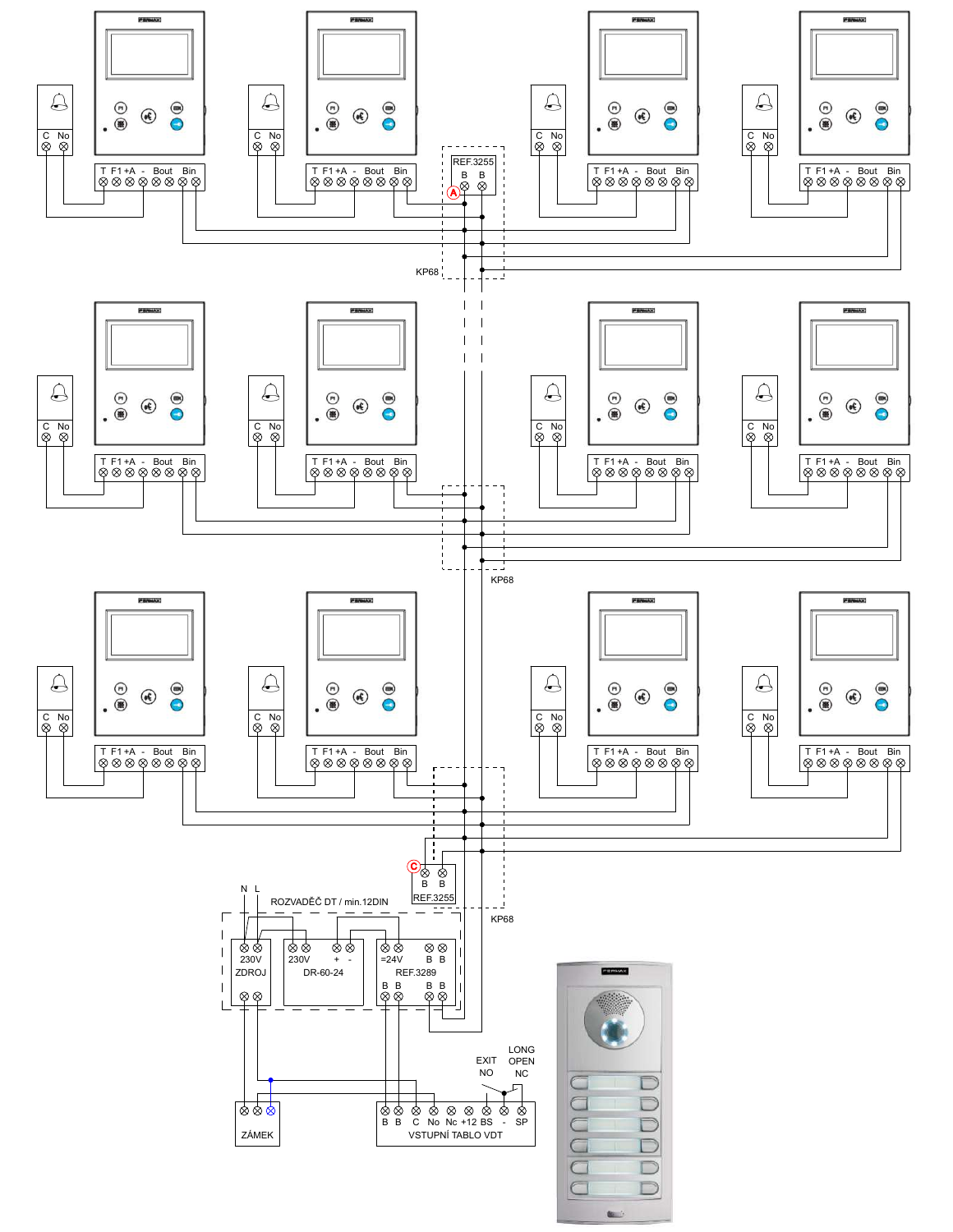